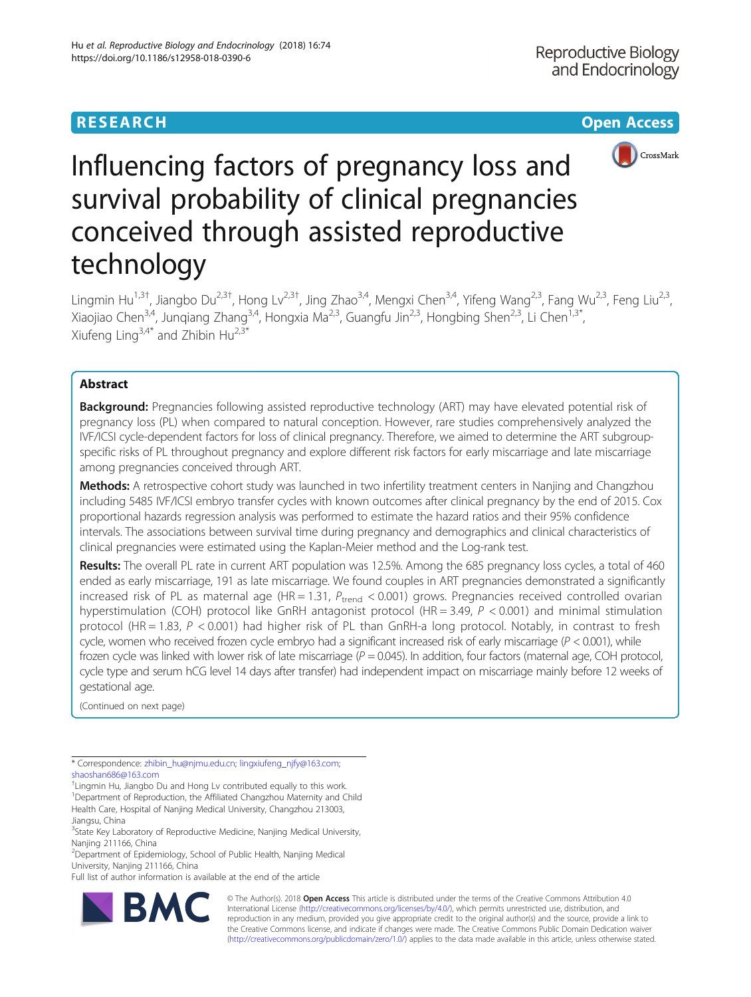# **RESEARCH CHEAR CHEAR CHEAR CHEAR CHEAR CHEAR CHEAR CHEAR CHEAR CHEAR CHEAR CHEAR CHEAR CHEAR CHEAR CHEAR CHEAR**



# Influencing factors of pregnancy loss and survival probability of clinical pregnancies conceived through assisted reproductive technology

Lingmin Hu<sup>1,3†</sup>, Jiangbo Du<sup>2,3†</sup>, Hong Lv<sup>2,3†</sup>, Jing Zhao<sup>3,4</sup>, Mengxi Chen<sup>3,4</sup>, Yifeng Wang<sup>2,3</sup>, Fang Wu<sup>2,3</sup>, Feng Liu<sup>2,3</sup>, Xiaojiao Chen<sup>3,4</sup>, Jungiang Zhang<sup>3,4</sup>, Hongxia Ma<sup>2,3</sup>, Guangfu Jin<sup>2,3</sup>, Hongbing Shen<sup>2,3</sup>, Li Chen<sup>1,3\*</sup>, Xiufeng Ling<sup>3,4\*</sup> and Zhibin Hu<sup>2,3\*</sup>

# Abstract

**Background:** Pregnancies following assisted reproductive technology (ART) may have elevated potential risk of pregnancy loss (PL) when compared to natural conception. However, rare studies comprehensively analyzed the IVF/ICSI cycle-dependent factors for loss of clinical pregnancy. Therefore, we aimed to determine the ART subgroupspecific risks of PL throughout pregnancy and explore different risk factors for early miscarriage and late miscarriage among pregnancies conceived through ART.

Methods: A retrospective cohort study was launched in two infertility treatment centers in Nanjing and Changzhou including 5485 IVF/ICSI embryo transfer cycles with known outcomes after clinical pregnancy by the end of 2015. Cox proportional hazards regression analysis was performed to estimate the hazard ratios and their 95% confidence intervals. The associations between survival time during pregnancy and demographics and clinical characteristics of clinical pregnancies were estimated using the Kaplan-Meier method and the Log-rank test.

Results: The overall PL rate in current ART population was 12.5%. Among the 685 pregnancy loss cycles, a total of 460 ended as early miscarriage, 191 as late miscarriage. We found couples in ART pregnancies demonstrated a significantly increased risk of PL as maternal age (HR = 1.31,  $P_{trend}$  < 0.001) grows. Pregnancies received controlled ovarian hyperstimulation (COH) protocol like GnRH antagonist protocol (HR = 3.49,  $P < 0.001$ ) and minimal stimulation protocol (HR = 1.83, P < 0.001) had higher risk of PL than GnRH-a long protocol. Notably, in contrast to fresh cycle, women who received frozen cycle embryo had a significant increased risk of early miscarriage ( $P < 0.001$ ), while frozen cycle was linked with lower risk of late miscarriage ( $P = 0.045$ ). In addition, four factors (maternal age, COH protocol, cycle type and serum hCG level 14 days after transfer) had independent impact on miscarriage mainly before 12 weeks of gestational age.

(Continued on next page)

\* Correspondence: [zhibin\\_hu@njmu.edu.cn;](mailto:zhibin_hu@njmu.edu.cn) [lingxiufeng\\_njfy@163.com;](mailto:lingxiufeng_njfy@163.com) [shaoshan686@163.com](mailto:shaoshan686@163.com)

† Lingmin Hu, Jiangbo Du and Hong Lv contributed equally to this work. <sup>1</sup>Department of Reproduction, the Affiliated Changzhou Maternity and Child Health Care, Hospital of Nanjing Medical University, Changzhou 213003, Jiangsu, China

<sup>3</sup>State Key Laboratory of Reproductive Medicine, Nanjing Medical University, Nanjing 211166, China

2 Department of Epidemiology, School of Public Health, Nanjing Medical University, Nanjing 211166, China

Full list of author information is available at the end of the article



© The Author(s). 2018 Open Access This article is distributed under the terms of the Creative Commons Attribution 4.0 International License [\(http://creativecommons.org/licenses/by/4.0/](http://creativecommons.org/licenses/by/4.0/)), which permits unrestricted use, distribution, and reproduction in any medium, provided you give appropriate credit to the original author(s) and the source, provide a link to the Creative Commons license, and indicate if changes were made. The Creative Commons Public Domain Dedication waiver [\(http://creativecommons.org/publicdomain/zero/1.0/](http://creativecommons.org/publicdomain/zero/1.0/)) applies to the data made available in this article, unless otherwise stated.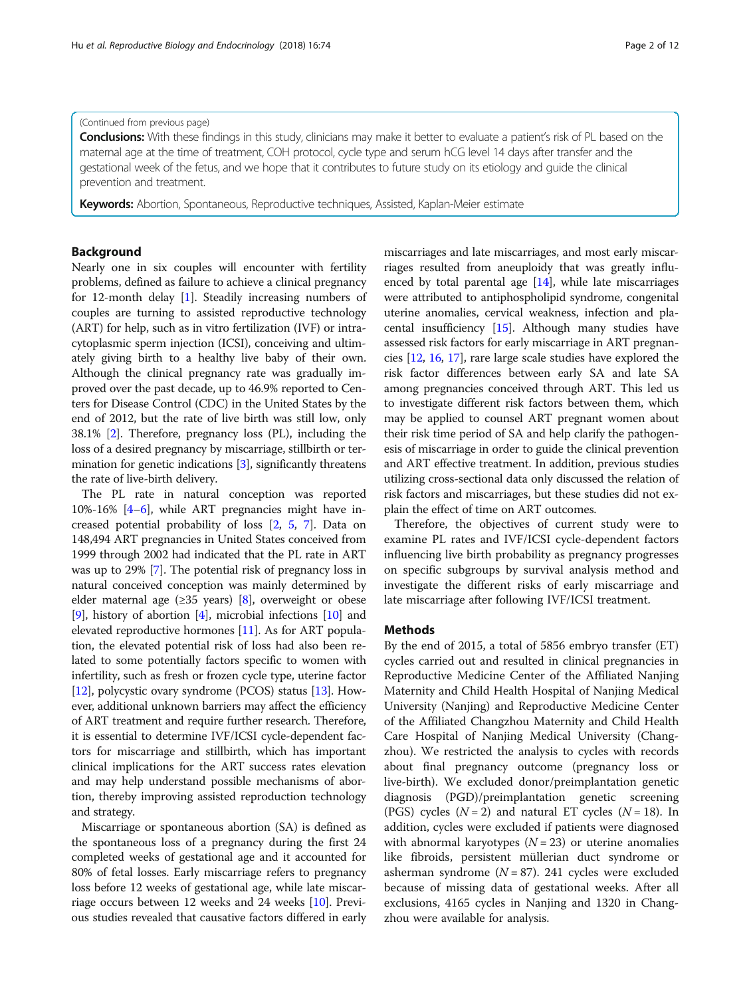#### (Continued from previous page)

Conclusions: With these findings in this study, clinicians may make it better to evaluate a patient's risk of PL based on the maternal age at the time of treatment, COH protocol, cycle type and serum hCG level 14 days after transfer and the gestational week of the fetus, and we hope that it contributes to future study on its etiology and guide the clinical prevention and treatment.

Keywords: Abortion, Spontaneous, Reproductive techniques, Assisted, Kaplan-Meier estimate

# Background

Nearly one in six couples will encounter with fertility problems, defined as failure to achieve a clinical pregnancy for 12-month delay [\[1](#page-10-0)]. Steadily increasing numbers of couples are turning to assisted reproductive technology (ART) for help, such as in vitro fertilization (IVF) or intracytoplasmic sperm injection (ICSI), conceiving and ultimately giving birth to a healthy live baby of their own. Although the clinical pregnancy rate was gradually improved over the past decade, up to 46.9% reported to Centers for Disease Control (CDC) in the United States by the end of 2012, but the rate of live birth was still low, only 38.1% [\[2](#page-10-0)]. Therefore, pregnancy loss (PL), including the loss of a desired pregnancy by miscarriage, stillbirth or termination for genetic indications [\[3](#page-10-0)], significantly threatens the rate of live-birth delivery.

The PL rate in natural conception was reported 10%-16% [[4](#page-10-0)–[6](#page-10-0)], while ART pregnancies might have increased potential probability of loss [[2](#page-10-0), [5,](#page-10-0) [7\]](#page-10-0). Data on 148,494 ART pregnancies in United States conceived from 1999 through 2002 had indicated that the PL rate in ART was up to 29% [[7\]](#page-10-0). The potential risk of pregnancy loss in natural conceived conception was mainly determined by elder maternal age ( $\geq$ 35 years) [\[8](#page-10-0)], overweight or obese [[9\]](#page-10-0), history of abortion [[4](#page-10-0)], microbial infections [\[10\]](#page-10-0) and elevated reproductive hormones [\[11\]](#page-10-0). As for ART population, the elevated potential risk of loss had also been related to some potentially factors specific to women with infertility, such as fresh or frozen cycle type, uterine factor [[12](#page-10-0)], polycystic ovary syndrome (PCOS) status [[13\]](#page-10-0). However, additional unknown barriers may affect the efficiency of ART treatment and require further research. Therefore, it is essential to determine IVF/ICSI cycle-dependent factors for miscarriage and stillbirth, which has important clinical implications for the ART success rates elevation and may help understand possible mechanisms of abortion, thereby improving assisted reproduction technology and strategy.

Miscarriage or spontaneous abortion (SA) is defined as the spontaneous loss of a pregnancy during the first 24 completed weeks of gestational age and it accounted for 80% of fetal losses. Early miscarriage refers to pregnancy loss before 12 weeks of gestational age, while late miscarriage occurs between 12 weeks and 24 weeks [\[10\]](#page-10-0). Previous studies revealed that causative factors differed in early

miscarriages and late miscarriages, and most early miscarriages resulted from aneuploidy that was greatly influenced by total parental age [[14\]](#page-10-0), while late miscarriages were attributed to antiphospholipid syndrome, congenital uterine anomalies, cervical weakness, infection and placental insufficiency [[15](#page-10-0)]. Although many studies have assessed risk factors for early miscarriage in ART pregnancies [[12](#page-10-0), [16,](#page-10-0) [17\]](#page-10-0), rare large scale studies have explored the risk factor differences between early SA and late SA among pregnancies conceived through ART. This led us to investigate different risk factors between them, which may be applied to counsel ART pregnant women about their risk time period of SA and help clarify the pathogenesis of miscarriage in order to guide the clinical prevention and ART effective treatment. In addition, previous studies utilizing cross-sectional data only discussed the relation of risk factors and miscarriages, but these studies did not explain the effect of time on ART outcomes.

Therefore, the objectives of current study were to examine PL rates and IVF/ICSI cycle-dependent factors influencing live birth probability as pregnancy progresses on specific subgroups by survival analysis method and investigate the different risks of early miscarriage and late miscarriage after following IVF/ICSI treatment.

#### Methods

By the end of 2015, a total of 5856 embryo transfer (ET) cycles carried out and resulted in clinical pregnancies in Reproductive Medicine Center of the Affiliated Nanjing Maternity and Child Health Hospital of Nanjing Medical University (Nanjing) and Reproductive Medicine Center of the Affiliated Changzhou Maternity and Child Health Care Hospital of Nanjing Medical University (Changzhou). We restricted the analysis to cycles with records about final pregnancy outcome (pregnancy loss or live-birth). We excluded donor/preimplantation genetic diagnosis (PGD)/preimplantation genetic screening (PGS) cycles  $(N = 2)$  and natural ET cycles  $(N = 18)$ . In addition, cycles were excluded if patients were diagnosed with abnormal karyotypes ( $N = 23$ ) or uterine anomalies like fibroids, persistent müllerian duct syndrome or asherman syndrome ( $N = 87$ ). 241 cycles were excluded because of missing data of gestational weeks. After all exclusions, 4165 cycles in Nanjing and 1320 in Changzhou were available for analysis.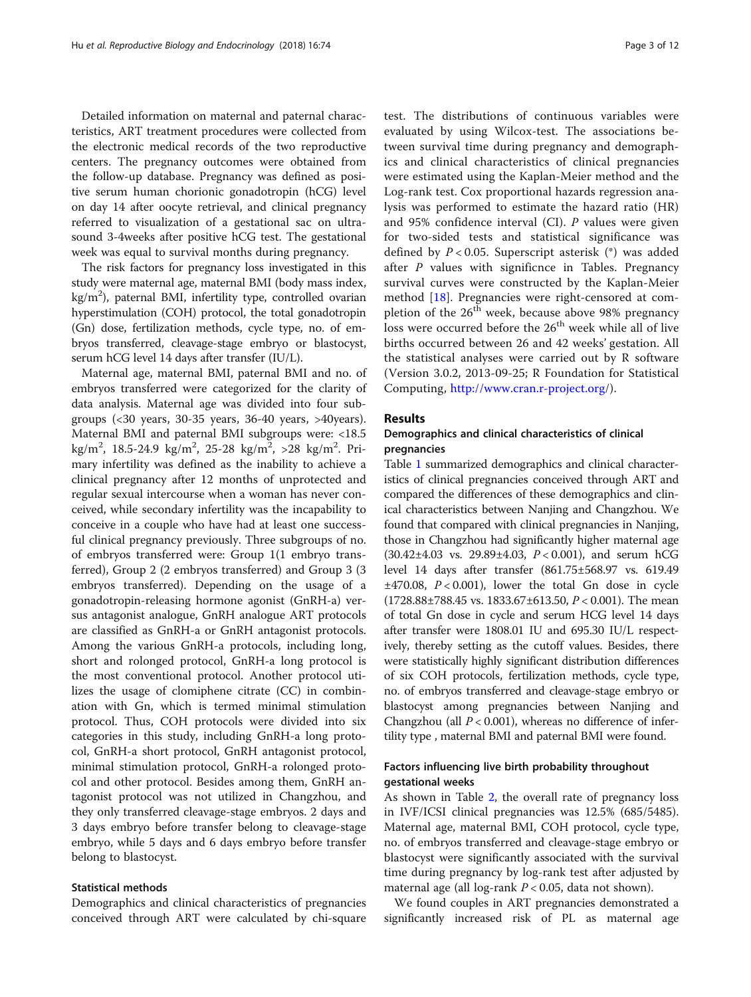Detailed information on maternal and paternal characteristics, ART treatment procedures were collected from the electronic medical records of the two reproductive centers. The pregnancy outcomes were obtained from the follow-up database. Pregnancy was defined as positive serum human chorionic gonadotropin (hCG) level on day 14 after oocyte retrieval, and clinical pregnancy referred to visualization of a gestational sac on ultrasound 3-4weeks after positive hCG test. The gestational week was equal to survival months during pregnancy.

The risk factors for pregnancy loss investigated in this study were maternal age, maternal BMI (body mass index, kg/m<sup>2</sup>), paternal BMI, infertility type, controlled ovarian hyperstimulation (COH) protocol, the total gonadotropin (Gn) dose, fertilization methods, cycle type, no. of embryos transferred, cleavage-stage embryo or blastocyst, serum hCG level 14 days after transfer (IU/L).

Maternal age, maternal BMI, paternal BMI and no. of embryos transferred were categorized for the clarity of data analysis. Maternal age was divided into four subgroups (<30 years, 30-35 years, 36-40 years, >40years). Maternal BMI and paternal BMI subgroups were: <18.5 kg/m<sup>2</sup>, 18.5-24.9 kg/m<sup>2</sup>, 25-28 kg/m<sup>2</sup>, >28 kg/m<sup>2</sup>. Primary infertility was defined as the inability to achieve a clinical pregnancy after 12 months of unprotected and regular sexual intercourse when a woman has never conceived, while secondary infertility was the incapability to conceive in a couple who have had at least one successful clinical pregnancy previously. Three subgroups of no. of embryos transferred were: Group 1(1 embryo transferred), Group 2 (2 embryos transferred) and Group 3 (3 embryos transferred). Depending on the usage of a gonadotropin-releasing hormone agonist (GnRH-a) versus antagonist analogue, GnRH analogue ART protocols are classified as GnRH-a or GnRH antagonist protocols. Among the various GnRH-a protocols, including long, short and rolonged protocol, GnRH-a long protocol is the most conventional protocol. Another protocol utilizes the usage of clomiphene citrate (CC) in combination with Gn, which is termed minimal stimulation protocol. Thus, COH protocols were divided into six categories in this study, including GnRH-a long protocol, GnRH-a short protocol, GnRH antagonist protocol, minimal stimulation protocol, GnRH-a rolonged protocol and other protocol. Besides among them, GnRH antagonist protocol was not utilized in Changzhou, and they only transferred cleavage-stage embryos. 2 days and 3 days embryo before transfer belong to cleavage-stage embryo, while 5 days and 6 days embryo before transfer belong to blastocyst.

## Statistical methods

Demographics and clinical characteristics of pregnancies conceived through ART were calculated by chi-square

test. The distributions of continuous variables were evaluated by using Wilcox-test. The associations between survival time during pregnancy and demographics and clinical characteristics of clinical pregnancies were estimated using the Kaplan-Meier method and the Log-rank test. Cox proportional hazards regression analysis was performed to estimate the hazard ratio (HR) and 95% confidence interval (CI). P values were given for two-sided tests and statistical significance was defined by  $P < 0.05$ . Superscript asterisk (\*) was added after P values with significnce in Tables. Pregnancy survival curves were constructed by the Kaplan-Meier method [[18\]](#page-10-0). Pregnancies were right-censored at completion of the  $26<sup>th</sup>$  week, because above 98% pregnancy loss were occurred before the  $26<sup>th</sup>$  week while all of live births occurred between 26 and 42 weeks' gestation. All the statistical analyses were carried out by R software (Version 3.0.2, 2013-09-25; R Foundation for Statistical Computing, <http://www.cran.r-project.org>/).

# Results

# Demographics and clinical characteristics of clinical pregnancies

Table [1](#page-3-0) summarized demographics and clinical characteristics of clinical pregnancies conceived through ART and compared the differences of these demographics and clinical characteristics between Nanjing and Changzhou. We found that compared with clinical pregnancies in Nanjing, those in Changzhou had significantly higher maternal age  $(30.42\pm4.03 \text{ vs. } 29.89\pm4.03, P < 0.001)$ , and serum hCG level 14 days after transfer (861.75±568.97 vs. 619.49  $\pm$ 470.08,  $P < 0.001$ ), lower the total Gn dose in cycle (1728.88±788.45 vs. 1833.67±613.50,  $P < 0.001$ ). The mean of total Gn dose in cycle and serum HCG level 14 days after transfer were 1808.01 IU and 695.30 IU/L respectively, thereby setting as the cutoff values. Besides, there were statistically highly significant distribution differences of six COH protocols, fertilization methods, cycle type, no. of embryos transferred and cleavage-stage embryo or blastocyst among pregnancies between Nanjing and Changzhou (all  $P < 0.001$ ), whereas no difference of infertility type , maternal BMI and paternal BMI were found.

# Factors influencing live birth probability throughout gestational weeks

As shown in Table [2](#page-4-0), the overall rate of pregnancy loss in IVF/ICSI clinical pregnancies was 12.5% (685/5485). Maternal age, maternal BMI, COH protocol, cycle type, no. of embryos transferred and cleavage-stage embryo or blastocyst were significantly associated with the survival time during pregnancy by log-rank test after adjusted by maternal age (all log-rank  $P < 0.05$ , data not shown).

We found couples in ART pregnancies demonstrated a significantly increased risk of PL as maternal age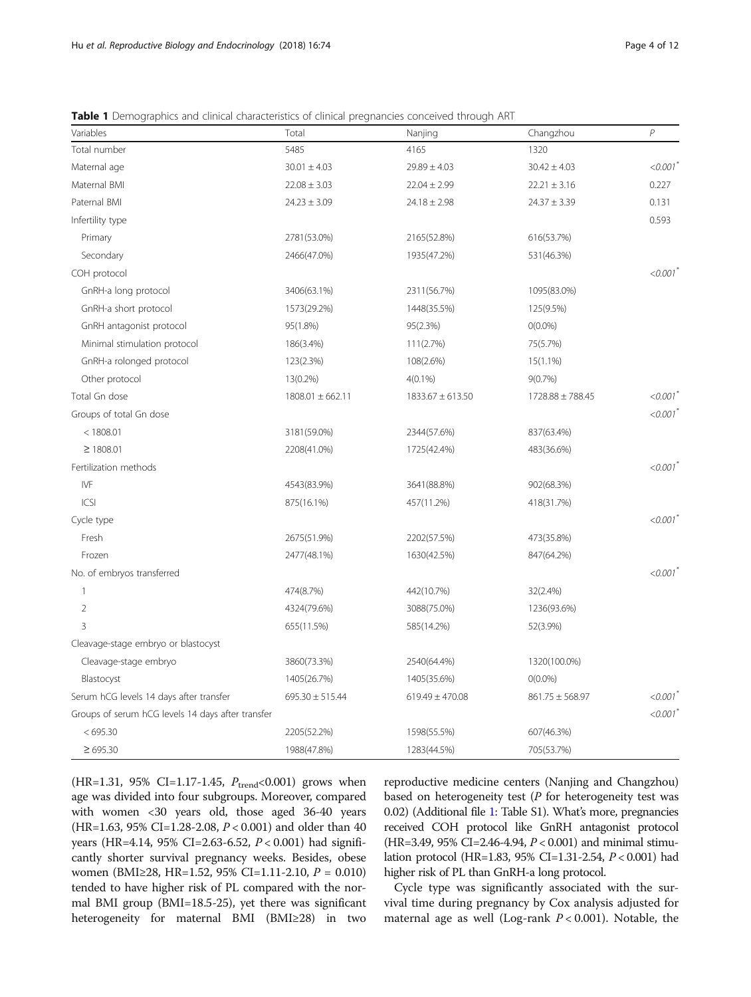| Variables                                         | Total                | Nanjing              | Changzhou           | $\overline{P}$ |
|---------------------------------------------------|----------------------|----------------------|---------------------|----------------|
| Total number                                      | 5485                 | 4165                 | 1320                |                |
| Maternal age                                      | $30.01 \pm 4.03$     | $29.89 \pm 4.03$     | $30.42 \pm 4.03$    | < 0.001        |
| Maternal BMI                                      | $22.08 \pm 3.03$     | $22.04 \pm 2.99$     | $22.21 \pm 3.16$    | 0.227          |
| Paternal BMI                                      | $24.23 \pm 3.09$     | $24.18 \pm 2.98$     | $24.37 \pm 3.39$    | 0.131          |
| Infertility type                                  |                      |                      |                     | 0.593          |
| Primary                                           | 2781(53.0%)          | 2165(52.8%)          | 616(53.7%)          |                |
| Secondary                                         | 2466(47.0%)          | 1935(47.2%)          | 531(46.3%)          |                |
| COH protocol                                      |                      |                      |                     | < 0.001        |
| GnRH-a long protocol                              | 3406(63.1%)          | 2311(56.7%)          | 1095(83.0%)         |                |
| GnRH-a short protocol                             | 1573(29.2%)          | 1448(35.5%)          | 125(9.5%)           |                |
| GnRH antagonist protocol                          | 95(1.8%)             | 95(2.3%)             | $O(0.0\%)$          |                |
| Minimal stimulation protocol                      | 186(3.4%)            | 111(2.7%)            | 75(5.7%)            |                |
| GnRH-a rolonged protocol                          | 123(2.3%)            | 108(2.6%)            | $15(1.1\%)$         |                |
| Other protocol                                    | 13(0.2%)             | $4(0.1\%)$           | $9(0.7\%)$          |                |
| Total Gn dose                                     | $1808.01 \pm 662.11$ | $1833.67 \pm 613.50$ | 1728.88 ± 788.45    | < 0.001        |
| Groups of total Gn dose                           |                      |                      |                     | < 0.001        |
| < 1808.01                                         | 3181(59.0%)          | 2344(57.6%)          | 837(63.4%)          |                |
| $\geq 1808.01$                                    | 2208(41.0%)          | 1725(42.4%)          | 483(36.6%)          |                |
| Fertilization methods                             |                      |                      |                     | < 0.001        |
| <b>IVF</b>                                        | 4543(83.9%)          | 3641(88.8%)          | 902(68.3%)          |                |
| ICSI                                              | 875(16.1%)           | 457(11.2%)           | 418(31.7%)          |                |
| Cycle type                                        |                      |                      |                     | < 0.001        |
| Fresh                                             | 2675(51.9%)          | 2202(57.5%)          | 473(35.8%)          |                |
| Frozen                                            | 2477(48.1%)          | 1630(42.5%)          | 847(64.2%)          |                |
| No. of embryos transferred                        |                      |                      |                     | < 0.001        |
| $\mathbf{1}$                                      | 474(8.7%)            | 442(10.7%)           | 32(2.4%)            |                |
| $\overline{2}$                                    | 4324(79.6%)          | 3088(75.0%)          | 1236(93.6%)         |                |
| 3                                                 | 655(11.5%)           | 585(14.2%)           | 52(3.9%)            |                |
| Cleavage-stage embryo or blastocyst               |                      |                      |                     |                |
| Cleavage-stage embryo                             | 3860(73.3%)          | 2540(64.4%)          | 1320(100.0%)        |                |
| Blastocyst                                        | 1405(26.7%)          | 1405(35.6%)          | $O(0.0\%)$          |                |
| Serum hCG levels 14 days after transfer           | $695.30 \pm 515.44$  | $619.49 \pm 470.08$  | $861.75 \pm 568.97$ | < 0.001        |
| Groups of serum hCG levels 14 days after transfer |                      |                      |                     | < 0.001        |
| < 695.30                                          | 2205(52.2%)          | 1598(55.5%)          | 607(46.3%)          |                |
| $\geq 695.30$                                     | 1988(47.8%)          | 1283(44.5%)          | 705(53.7%)          |                |

<span id="page-3-0"></span>Table 1 Demographics and clinical characteristics of clinical pregnancies conceived through ART

(HR=1.31, 95% CI=1.17-1.45,  $P_{\text{trend}}$ <0.001) grows when age was divided into four subgroups. Moreover, compared with women <30 years old, those aged 36-40 years (HR=1.63, 95% CI=1.28-2.08, P < 0.001) and older than 40 years (HR=4.14, 95% CI=2.63-6.52, P < 0.001) had significantly shorter survival pregnancy weeks. Besides, obese women (BMI≥28, HR=1.52, 95% CI=1.11-2.10, P = 0.010) tended to have higher risk of PL compared with the normal BMI group (BMI=18.5-25), yet there was significant heterogeneity for maternal BMI (BMI≥28) in two

reproductive medicine centers (Nanjing and Changzhou) based on heterogeneity test  $(P$  for heterogeneity test was 0.02) (Additional file [1:](#page-9-0) Table S1). What's more, pregnancies received COH protocol like GnRH antagonist protocol (HR=3.49, 95% CI=2.46-4.94, P < 0.001) and minimal stimulation protocol (HR=1.83, 95% CI=1.31-2.54, P < 0.001) had higher risk of PL than GnRH-a long protocol.

Cycle type was significantly associated with the survival time during pregnancy by Cox analysis adjusted for maternal age as well (Log-rank  $P < 0.001$ ). Notable, the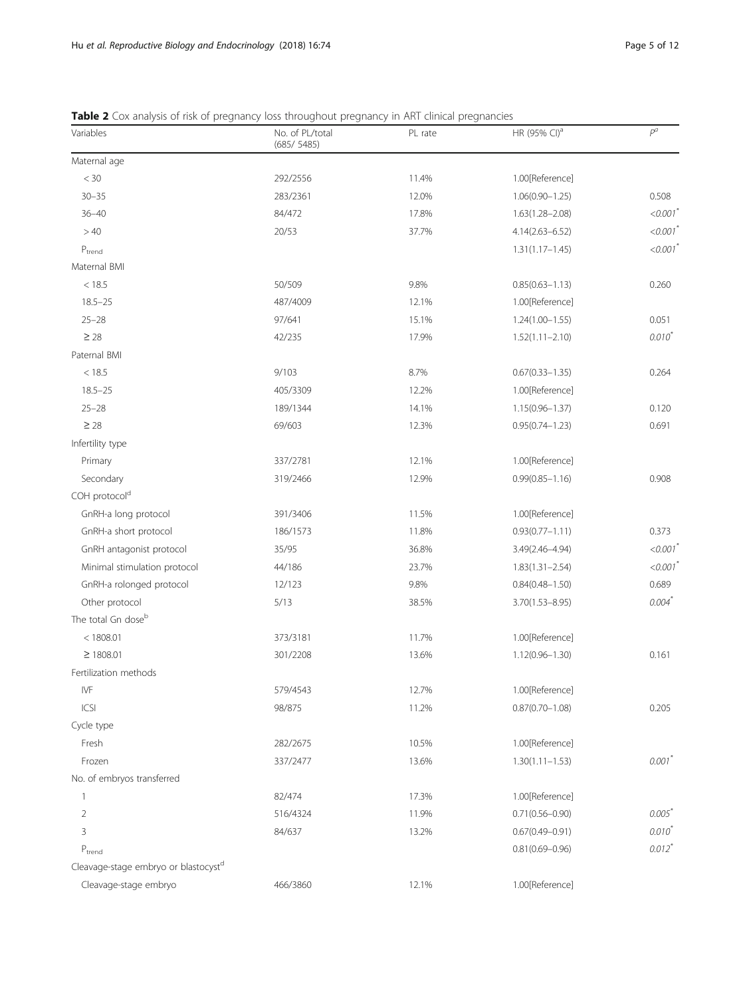| Variables                                        | No. of PL/total<br>(685/5485) | PL rate | HR (95% CI) <sup>a</sup> | $P^a$                  |
|--------------------------------------------------|-------------------------------|---------|--------------------------|------------------------|
| Maternal age                                     |                               |         |                          |                        |
| $< 30\,$                                         | 292/2556                      | 11.4%   | 1.00[Reference]          |                        |
| $30 - 35$                                        | 283/2361                      | 12.0%   | $1.06(0.90 - 1.25)$      | 0.508                  |
| $36 - 40$                                        | 84/472                        | 17.8%   | $1.63(1.28 - 2.08)$      | $< 0.001$ <sup>*</sup> |
| >40                                              | 20/53                         | 37.7%   | $4.14(2.63 - 6.52)$      | $< 0.001$ <sup>*</sup> |
| ${\mathsf P}_{\text{trend}}$                     |                               |         | $1.31(1.17 - 1.45)$      | $< 0.001$ <sup>*</sup> |
| Maternal BMI                                     |                               |         |                          |                        |
| < 18.5                                           | 50/509                        | 9.8%    | $0.85(0.63 - 1.13)$      | 0.260                  |
| $18.5 - 25$                                      | 487/4009                      | 12.1%   | 1.00[Reference]          |                        |
| $25 - 28$                                        | 97/641                        | 15.1%   | $1.24(1.00 - 1.55)$      | 0.051                  |
| $\geq 28$                                        | 42/235                        | 17.9%   | $1.52(1.11 - 2.10)$      | $0.010^{*}$            |
| Paternal BMI                                     |                               |         |                          |                        |
| < 18.5                                           | 9/103                         | 8.7%    | $0.67(0.33 - 1.35)$      | 0.264                  |
| $18.5 - 25$                                      | 405/3309                      | 12.2%   | 1.00[Reference]          |                        |
| $25 - 28$                                        | 189/1344                      | 14.1%   | $1.15(0.96 - 1.37)$      | 0.120                  |
| $\geq$ 28                                        | 69/603                        | 12.3%   | $0.95(0.74 - 1.23)$      | 0.691                  |
| Infertility type                                 |                               |         |                          |                        |
| Primary                                          | 337/2781                      | 12.1%   | 1.00[Reference]          |                        |
| Secondary                                        | 319/2466                      | 12.9%   | $0.99(0.85 - 1.16)$      | 0.908                  |
| COH protocol <sup>d</sup>                        |                               |         |                          |                        |
| GnRH-a long protocol                             | 391/3406                      | 11.5%   | 1.00[Reference]          |                        |
| GnRH-a short protocol                            | 186/1573                      | 11.8%   | $0.93(0.77 - 1.11)$      | 0.373                  |
| GnRH antagonist protocol                         | 35/95                         | 36.8%   | 3.49(2.46-4.94)          | $< 0.001$ <sup>*</sup> |
| Minimal stimulation protocol                     | 44/186                        | 23.7%   | $1.83(1.31 - 2.54)$      | < 0.001                |
| GnRH-a rolonged protocol                         | 12/123                        | 9.8%    | $0.84(0.48 - 1.50)$      | 0.689                  |
| Other protocol                                   | 5/13                          | 38.5%   | $3.70(1.53 - 8.95)$      | $0.004$ <sup>*</sup>   |
| The total Gn dose <sup>b</sup>                   |                               |         |                          |                        |
| < 1808.01                                        | 373/3181                      | 11.7%   | 1.00[Reference]          |                        |
| $\geq 1808.01$                                   | 301/2208                      | 13.6%   | $1.12(0.96 - 1.30)$      | 0.161                  |
| Fertilization methods                            |                               |         |                          |                        |
| IVF                                              | 579/4543                      | 12.7%   | 1.00[Reference]          |                        |
| ICSI                                             | 98/875                        | 11.2%   | $0.87(0.70 - 1.08)$      | 0.205                  |
| Cycle type                                       |                               |         |                          |                        |
| Fresh                                            | 282/2675                      | 10.5%   | 1.00[Reference]          |                        |
| Frozen                                           | 337/2477                      | 13.6%   | $1.30(1.11 - 1.53)$      | $0.001$ <sup>*</sup>   |
| No. of embryos transferred                       |                               |         |                          |                        |
| 1                                                | 82/474                        | 17.3%   | 1.00[Reference]          |                        |
| 2                                                | 516/4324                      | 11.9%   | $0.71(0.56 - 0.90)$      | $0.005*$               |
| 3                                                | 84/637                        | 13.2%   | $0.67(0.49 - 0.91)$      | $0.010^{*}$            |
| $P_{trend}$                                      |                               |         | $0.81(0.69 - 0.96)$      | $0.012$ <sup>*</sup>   |
| Cleavage-stage embryo or blastocyst <sup>d</sup> |                               |         |                          |                        |
| Cleavage-stage embryo                            | 466/3860                      | 12.1%   | 1.00[Reference]          |                        |

<span id="page-4-0"></span>Table 2 Cox analysis of risk of pregnancy loss throughout pregnancy in ART clinical pregnancies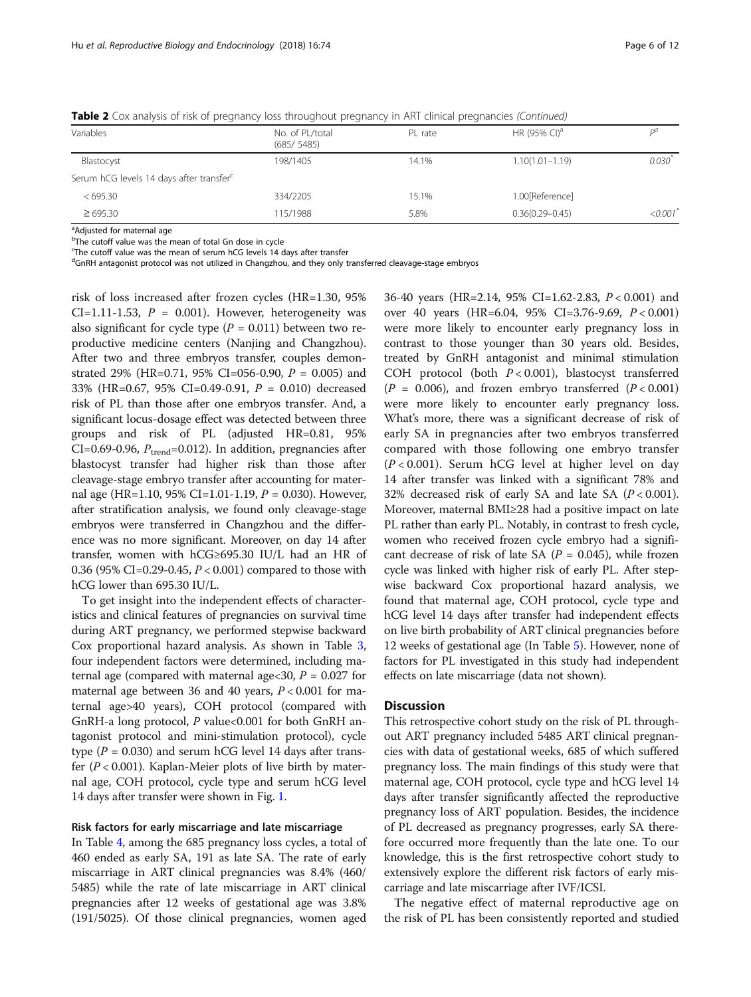| Variables                                            | No. of PL/total<br>(685/5485) | PL rate | HR (95% CI) <sup>a</sup> |                       |
|------------------------------------------------------|-------------------------------|---------|--------------------------|-----------------------|
| Blastocyst                                           | 198/1405                      | 14.1%   | $1.10(1.01 - 1.19)$      | $0.030^{7}$           |
| Serum hCG levels 14 days after transfer <sup>c</sup> |                               |         |                          |                       |
| <695.30                                              | 334/2205                      | 15.1%   | 1.00[Reference]          |                       |
| $\geq 695.30$                                        | 115/1988                      | 5.8%    | $0.36(0.29 - 0.45)$      | $<0.001$ <sup>*</sup> |

Table 2 Cox analysis of risk of pregnancy loss throughout pregnancy in ART clinical pregnancies (Continued)

<sup>a</sup>Adjusted for maternal age

<sup>b</sup>The cutoff value was the mean of total Gn dose in cycle

<sup>c</sup>The cutoff value was the mean of serum hCG levels 14 days after transfer

<sup>d</sup>GnRH antagonist protocol was not utilized in Changzhou, and they only transferred cleavage-stage embryos

risk of loss increased after frozen cycles (HR=1.30, 95% CI=1.11-1.53,  $P = 0.001$ ). However, heterogeneity was also significant for cycle type  $(P = 0.011)$  between two reproductive medicine centers (Nanjing and Changzhou). After two and three embryos transfer, couples demonstrated 29% (HR=0.71, 95% CI=056-0.90,  $P = 0.005$ ) and 33% (HR=0.67, 95% CI=0.49-0.91, P = 0.010) decreased risk of PL than those after one embryos transfer. And, a significant locus-dosage effect was detected between three groups and risk of PL (adjusted HR=0.81, 95% CI=0.69-0.96,  $P_{trend}$ =0.012). In addition, pregnancies after blastocyst transfer had higher risk than those after cleavage-stage embryo transfer after accounting for maternal age (HR=1.10, 95% CI=1.01-1.19,  $P = 0.030$ ). However, after stratification analysis, we found only cleavage-stage embryos were transferred in Changzhou and the difference was no more significant. Moreover, on day 14 after transfer, women with hCG≥695.30 IU/L had an HR of 0.36 (95% CI=0.29-0.45, P < 0.001) compared to those with hCG lower than 695.30 IU/L.

To get insight into the independent effects of characteristics and clinical features of pregnancies on survival time during ART pregnancy, we performed stepwise backward Cox proportional hazard analysis. As shown in Table [3](#page-6-0), four independent factors were determined, including maternal age (compared with maternal age  $<30$ ,  $P = 0.027$  for maternal age between 36 and 40 years,  $P < 0.001$  for maternal age>40 years), COH protocol (compared with GnRH-a long protocol, P value<0.001 for both GnRH antagonist protocol and mini-stimulation protocol), cycle type ( $P = 0.030$ ) and serum hCG level 14 days after transfer ( $P < 0.001$ ). Kaplan-Meier plots of live birth by maternal age, COH protocol, cycle type and serum hCG level 14 days after transfer were shown in Fig. [1](#page-6-0).

#### Risk factors for early miscarriage and late miscarriage

In Table [4](#page-7-0), among the 685 pregnancy loss cycles, a total of 460 ended as early SA, 191 as late SA. The rate of early miscarriage in ART clinical pregnancies was 8.4% (460/ 5485) while the rate of late miscarriage in ART clinical pregnancies after 12 weeks of gestational age was 3.8% (191/5025). Of those clinical pregnancies, women aged

36-40 years (HR=2.14, 95% CI=1.62-2.83, P < 0.001) and over 40 years (HR=6.04, 95% CI=3.76-9.69, P < 0.001) were more likely to encounter early pregnancy loss in contrast to those younger than 30 years old. Besides, treated by GnRH antagonist and minimal stimulation COH protocol (both  $P < 0.001$ ), blastocyst transferred  $(P = 0.006)$ , and frozen embryo transferred  $(P < 0.001)$ were more likely to encounter early pregnancy loss. What's more, there was a significant decrease of risk of early SA in pregnancies after two embryos transferred compared with those following one embryo transfer  $(P<0.001)$ . Serum hCG level at higher level on day 14 after transfer was linked with a significant 78% and 32% decreased risk of early SA and late SA  $(P < 0.001)$ . Moreover, maternal BMI≥28 had a positive impact on late PL rather than early PL. Notably, in contrast to fresh cycle, women who received frozen cycle embryo had a significant decrease of risk of late SA ( $P = 0.045$ ), while frozen cycle was linked with higher risk of early PL. After stepwise backward Cox proportional hazard analysis, we found that maternal age, COH protocol, cycle type and hCG level 14 days after transfer had independent effects on live birth probability of ART clinical pregnancies before 12 weeks of gestational age (In Table [5\)](#page-8-0). However, none of factors for PL investigated in this study had independent effects on late miscarriage (data not shown).

# **Discussion**

This retrospective cohort study on the risk of PL throughout ART pregnancy included 5485 ART clinical pregnancies with data of gestational weeks, 685 of which suffered pregnancy loss. The main findings of this study were that maternal age, COH protocol, cycle type and hCG level 14 days after transfer significantly affected the reproductive pregnancy loss of ART population. Besides, the incidence of PL decreased as pregnancy progresses, early SA therefore occurred more frequently than the late one. To our knowledge, this is the first retrospective cohort study to extensively explore the different risk factors of early miscarriage and late miscarriage after IVF/ICSI.

The negative effect of maternal reproductive age on the risk of PL has been consistently reported and studied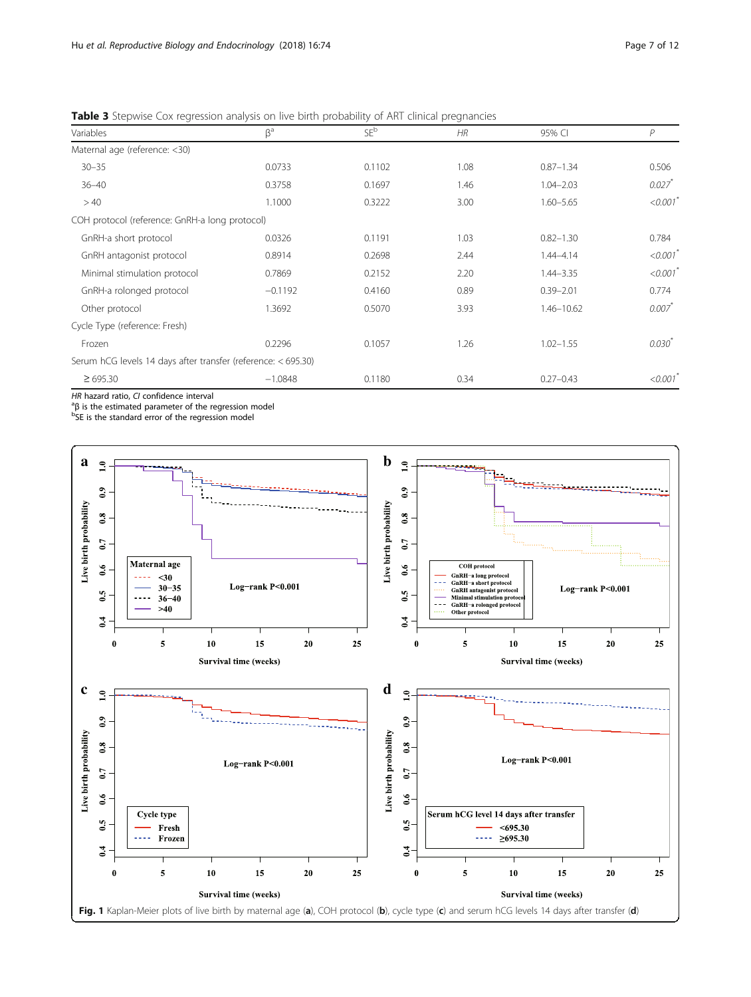| Variables                                                     | $\beta^a$ | $SE^b$ | HR   | 95% CI        | P                      |
|---------------------------------------------------------------|-----------|--------|------|---------------|------------------------|
| Maternal age (reference: <30)                                 |           |        |      |               |                        |
| $30 - 35$                                                     | 0.0733    | 0.1102 | 1.08 | $0.87 - 1.34$ | 0.506                  |
| $36 - 40$                                                     | 0.3758    | 0.1697 | 1.46 | $1.04 - 2.03$ | $0.027$ <sup>*</sup>   |
| >40                                                           | 1.1000    | 0.3222 | 3.00 | $1.60 - 5.65$ | < 0.001                |
| COH protocol (reference: GnRH-a long protocol)                |           |        |      |               |                        |
| GnRH-a short protocol                                         | 0.0326    | 0.1191 | 1.03 | $0.82 - 1.30$ | 0.784                  |
| GnRH antagonist protocol                                      | 0.8914    | 0.2698 | 2.44 | $1.44 - 4.14$ | $< 0.001$ <sup>*</sup> |
| Minimal stimulation protocol                                  | 0.7869    | 0.2152 | 2.20 | $1.44 - 3.35$ | < 0.001                |
| GnRH-a rolonged protocol                                      | $-0.1192$ | 0.4160 | 0.89 | $0.39 - 2.01$ | 0.774                  |
| Other protocol                                                | 1.3692    | 0.5070 | 3.93 | 1.46-10.62    | 0.007                  |
| Cycle Type (reference: Fresh)                                 |           |        |      |               |                        |
| Frozen                                                        | 0.2296    | 0.1057 | 1.26 | $1.02 - 1.55$ | $0.030^{*}$            |
| Serum hCG levels 14 days after transfer (reference: < 695.30) |           |        |      |               |                        |
| $\geq 695.30$                                                 | $-1.0848$ | 0.1180 | 0.34 | $0.27 - 0.43$ | < 0.001                |
|                                                               |           |        |      |               |                        |

<span id="page-6-0"></span>Table 3 Stepwise Cox regression analysis on live birth probability of ART clinical pregnancies

HR hazard ratio, CI confidence interval<br><sup>a</sup>R is the estimated parameter of the r

<sup>a</sup>β is the estimated parameter of the regression model<br><sup>b</sup>SE is the standard error of the regression model

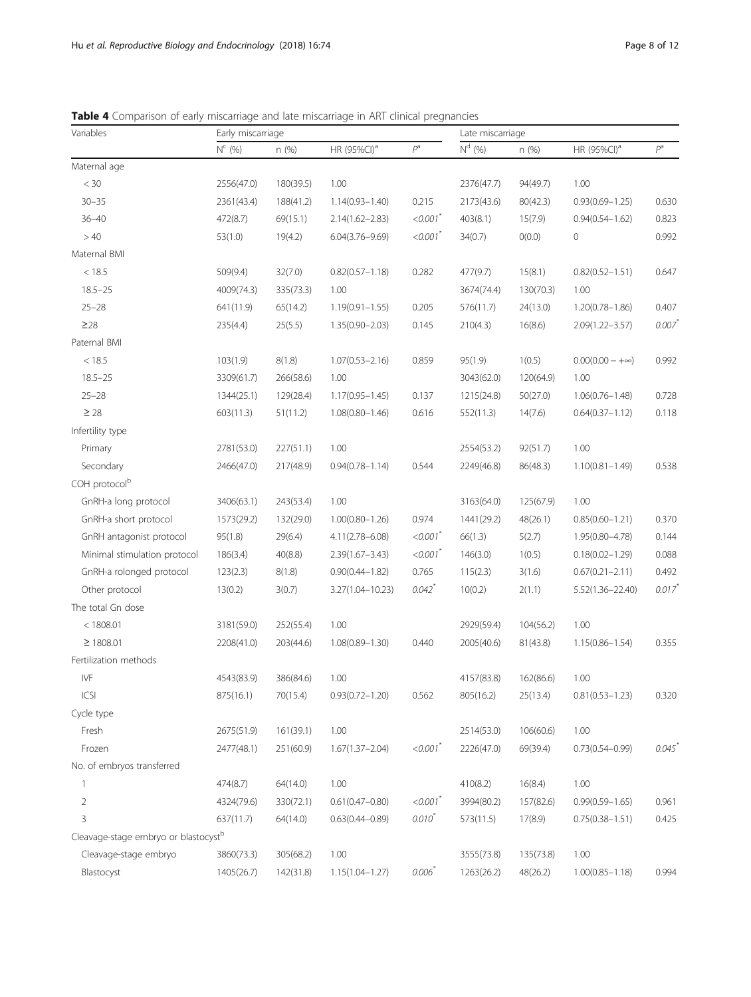| Page 8 or T |  |
|-------------|--|
|             |  |
|             |  |

| Variables                                        | Early miscarriage |           |                         |                        | Late miscarriage |           |                         |                      |
|--------------------------------------------------|-------------------|-----------|-------------------------|------------------------|------------------|-----------|-------------------------|----------------------|
|                                                  | $N^c$ (%)         | n (%)     | HR (95%CI) <sup>a</sup> | $P^a$                  | $N^{d}$ (%)      | n (%)     | HR (95%CI) <sup>a</sup> | $P^a$                |
| Maternal age                                     |                   |           |                         |                        |                  |           |                         |                      |
| $< 30$                                           | 2556(47.0)        | 180(39.5) | 1.00                    |                        | 2376(47.7)       | 94(49.7)  | 1.00                    |                      |
| $30 - 35$                                        | 2361(43.4)        | 188(41.2) | $1.14(0.93 - 1.40)$     | 0.215                  | 2173(43.6)       | 80(42.3)  | $0.93(0.69 - 1.25)$     | 0.630                |
| $36 - 40$                                        | 472(8.7)          | 69(15.1)  | $2.14(1.62 - 2.83)$     | $< 0.001$ <sup>*</sup> | 403(8.1)         | 15(7.9)   | $0.94(0.54 - 1.62)$     | 0.823                |
| >40                                              | 53(1.0)           | 19(4.2)   | $6.04(3.76 - 9.69)$     | $<0.001$ <sup>*</sup>  | 34(0.7)          | O(0.0)    | 0                       | 0.992                |
| Maternal BMI                                     |                   |           |                         |                        |                  |           |                         |                      |
| < 18.5                                           | 509(9.4)          | 32(7.0)   | $0.82(0.57 - 1.18)$     | 0.282                  | 477(9.7)         | 15(8.1)   | $0.82(0.52 - 1.51)$     | 0.647                |
| $18.5 - 25$                                      | 4009(74.3)        | 335(73.3) | 1.00                    |                        | 3674(74.4)       | 130(70.3) | 1.00                    |                      |
| $25 - 28$                                        | 641(11.9)         | 65(14.2)  | $1.19(0.91 - 1.55)$     | 0.205                  | 576(11.7)        | 24(13.0)  | $1.20(0.78 - 1.86)$     | 0.407                |
| $\geq$ 28                                        | 235(4.4)          | 25(5.5)   | $1.35(0.90 - 2.03)$     | 0.145                  | 210(4.3)         | 16(8.6)   | $2.09(1.22 - 3.57)$     | 0.007                |
| Paternal BMI                                     |                   |           |                         |                        |                  |           |                         |                      |
| < 18.5                                           | 103(1.9)          | 8(1.8)    | $1.07(0.53 - 2.16)$     | 0.859                  | 95(1.9)          | 1(0.5)    | $0.00(0.00 - +\infty)$  | 0.992                |
| $18.5 - 25$                                      | 3309(61.7)        | 266(58.6) | 1.00                    |                        | 3043(62.0)       | 120(64.9) | 1.00                    |                      |
| $25 - 28$                                        | 1344(25.1)        | 129(28.4) | $1.17(0.95 - 1.45)$     | 0.137                  | 1215(24.8)       | 50(27.0)  | $1.06(0.76 - 1.48)$     | 0.728                |
| $\geq 28$                                        | 603(11.3)         | 51(11.2)  | $1.08(0.80 - 1.46)$     | 0.616                  | 552(11.3)        | 14(7.6)   | $0.64(0.37 - 1.12)$     | 0.118                |
| Infertility type                                 |                   |           |                         |                        |                  |           |                         |                      |
| Primary                                          | 2781(53.0)        | 227(51.1) | 1.00                    |                        | 2554(53.2)       | 92(51.7)  | 1.00                    |                      |
| Secondary                                        | 2466(47.0)        | 217(48.9) | $0.94(0.78 - 1.14)$     | 0.544                  | 2249(46.8)       | 86(48.3)  | $1.10(0.81 - 1.49)$     | 0.538                |
| COH protocol <sup>b</sup>                        |                   |           |                         |                        |                  |           |                         |                      |
| GnRH-a long protocol                             | 3406(63.1)        | 243(53.4) | 1.00                    |                        | 3163(64.0)       | 125(67.9) | 1.00                    |                      |
| GnRH-a short protocol                            | 1573(29.2)        | 132(29.0) | $1.00(0.80 - 1.26)$     | 0.974                  | 1441(29.2)       | 48(26.1)  | $0.85(0.60 - 1.21)$     | 0.370                |
| GnRH antagonist protocol                         | 95(1.8)           | 29(6.4)   | $4.11(2.78 - 6.08)$     | $< 0.001$ <sup>*</sup> | 66(1.3)          | 5(2.7)    | $1.95(0.80 - 4.78)$     | 0.144                |
| Minimal stimulation protocol                     | 186(3.4)          | 40(8.8)   | $2.39(1.67 - 3.43)$     | $<0.001$ <sup>*</sup>  | 146(3.0)         | 1(0.5)    | $0.18(0.02 - 1.29)$     | 0.088                |
| GnRH-a rolonged protocol                         | 123(2.3)          | 8(1.8)    | $0.90(0.44 - 1.82)$     | 0.765                  | 115(2.3)         | 3(1.6)    | $0.67(0.21 - 2.11)$     | 0.492                |
| Other protocol                                   | 13(0.2)           | 3(0.7)    | 3.27(1.04-10.23)        | $0.042$ <sup>*</sup>   | 10(0.2)          | 2(1.1)    | $5.52(1.36 - 22.40)$    | $0.017$ <sup>*</sup> |
| The total Gn dose                                |                   |           |                         |                        |                  |           |                         |                      |
| < 1808.01                                        | 3181(59.0)        | 252(55.4) | 1.00                    |                        | 2929(59.4)       | 104(56.2) | 1.00                    |                      |
| $\geq 1808.01$                                   | 2208(41.0)        | 203(44.6) | $1.08(0.89 - 1.30)$     | 0.440                  | 2005(40.6)       | 81(43.8)  | $1.15(0.86 - 1.54)$     | 0.355                |
| Fertilization methods                            |                   |           |                         |                        |                  |           |                         |                      |
| IVF                                              | 4543(83.9)        | 386(84.6) | 1.00                    |                        | 4157(83.8)       | 162(86.6) | 1.00                    |                      |
| ICSI                                             | 875(16.1)         | 70(15.4)  | $0.93(0.72 - 1.20)$     | 0.562                  | 805(16.2)        | 25(13.4)  | $0.81(0.53 - 1.23)$     | 0.320                |
| Cycle type                                       |                   |           |                         |                        |                  |           |                         |                      |
| Fresh                                            | 2675(51.9)        | 161(39.1) | 1.00                    |                        | 2514(53.0)       | 106(60.6) | 1.00                    |                      |
| Frozen                                           | 2477(48.1)        | 251(60.9) | $1.67(1.37 - 2.04)$     | $<0.001$ <sup>*</sup>  | 2226(47.0)       | 69(39.4)  | $0.73(0.54 - 0.99)$     | 0.045                |
| No. of embryos transferred                       |                   |           |                         |                        |                  |           |                         |                      |
| 1                                                | 474(8.7)          | 64(14.0)  | 1.00                    |                        | 410(8.2)         | 16(8.4)   | 1.00                    |                      |
| 2                                                | 4324(79.6)        | 330(72.1) | $0.61(0.47 - 0.80)$     | $< 0.001$ <sup>*</sup> | 3994(80.2)       | 157(82.6) | $0.99(0.59 - 1.65)$     | 0.961                |
| 3                                                | 637(11.7)         | 64(14.0)  | $0.63(0.44 - 0.89)$     | $0.010^{*}$            | 573(11.5)        | 17(8.9)   | $0.75(0.38 - 1.51)$     | 0.425                |
| Cleavage-stage embryo or blastocyst <sup>b</sup> |                   |           |                         |                        |                  |           |                         |                      |
| Cleavage-stage embryo                            | 3860(73.3)        | 305(68.2) | 1.00                    |                        | 3555(73.8)       | 135(73.8) | 1.00                    |                      |
| Blastocyst                                       | 1405(26.7)        | 142(31.8) | $1.15(1.04 - 1.27)$     | $0.006*$               | 1263(26.2)       | 48(26.2)  | $1.00(0.85 - 1.18)$     | 0.994                |

<span id="page-7-0"></span>Table 4 Comparison of early miscarriage and late miscarriage in ART clinical pregnancies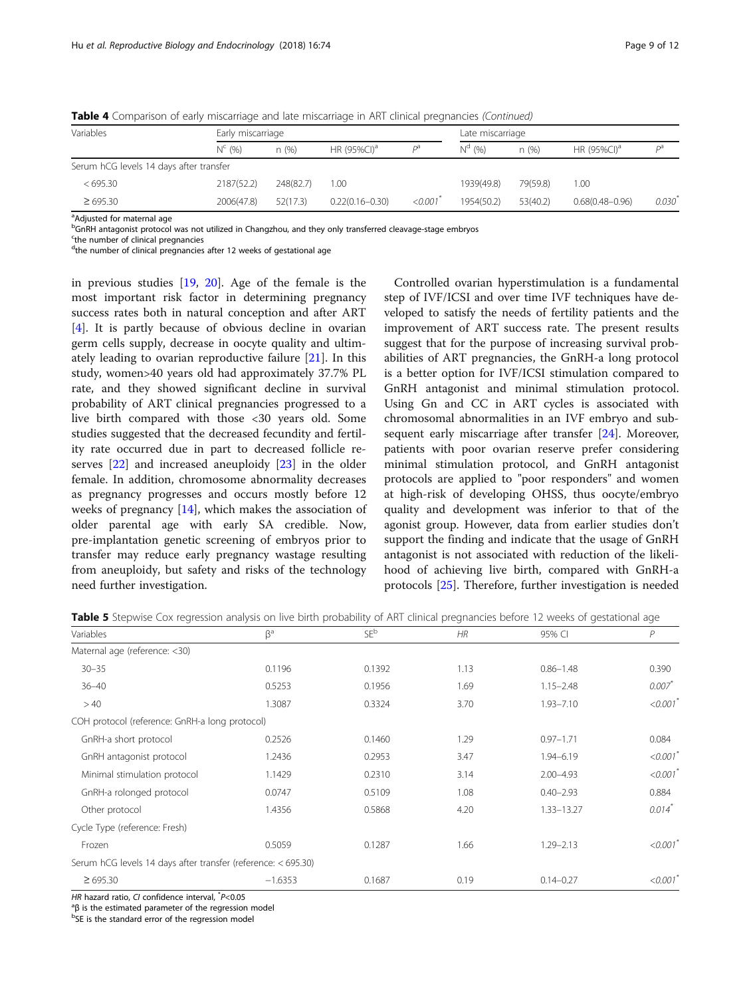| Variables                               |             | Early miscarriage |                         |          |             | Late miscarriage |                             |             |  |
|-----------------------------------------|-------------|-------------------|-------------------------|----------|-------------|------------------|-----------------------------|-------------|--|
|                                         | $N^{c}$ (%) | n(% )             | HR (95%CI) <sup>a</sup> | pa       | $N^{d}$ (%) | n(%)             | HR $(95\%$ CI) <sup>a</sup> | Da          |  |
| Serum hCG levels 14 days after transfer |             |                   |                         |          |             |                  |                             |             |  |
| <695.30                                 | 2187(52.2)  | 248(82.7)         | 0.00                    |          | 1939(49.8)  | 79(59.8)         | 1.00                        |             |  |
| $\geq 695.30$                           | 2006(47.8)  | 52(17.3)          | $0.22(0.16 - 0.30)$     | < 0.001' | 1954(50.2)  | 53(40.2)         | $0.68(0.48 - 0.96)$         | $0.030^{*}$ |  |

<span id="page-8-0"></span>Table 4 Comparison of early miscarriage and late miscarriage in ART clinical pregnancies (Continued)

<sup>a</sup>Adjusted for maternal age

<sup>b</sup>GnRH antagonist protocol was not utilized in Changzhou, and they only transferred cleavage-stage embryos

<sup>c</sup>the number of clinical pregnancies

<sup>d</sup>the number of clinical pregnancies after 12 weeks of gestational age

in previous studies [[19,](#page-10-0) [20](#page-10-0)]. Age of the female is the most important risk factor in determining pregnancy success rates both in natural conception and after ART [[4\]](#page-10-0). It is partly because of obvious decline in ovarian germ cells supply, decrease in oocyte quality and ultimately leading to ovarian reproductive failure [[21\]](#page-10-0). In this study, women>40 years old had approximately 37.7% PL rate, and they showed significant decline in survival probability of ART clinical pregnancies progressed to a live birth compared with those <30 years old. Some studies suggested that the decreased fecundity and fertility rate occurred due in part to decreased follicle reserves [\[22](#page-10-0)] and increased aneuploidy [[23\]](#page-10-0) in the older female. In addition, chromosome abnormality decreases as pregnancy progresses and occurs mostly before 12 weeks of pregnancy [[14\]](#page-10-0), which makes the association of older parental age with early SA credible. Now, pre-implantation genetic screening of embryos prior to transfer may reduce early pregnancy wastage resulting from aneuploidy, but safety and risks of the technology need further investigation.

Controlled ovarian hyperstimulation is a fundamental step of IVF/ICSI and over time IVF techniques have developed to satisfy the needs of fertility patients and the improvement of ART success rate. The present results suggest that for the purpose of increasing survival probabilities of ART pregnancies, the GnRH-a long protocol is a better option for IVF/ICSI stimulation compared to GnRH antagonist and minimal stimulation protocol. Using Gn and CC in ART cycles is associated with chromosomal abnormalities in an IVF embryo and sub-sequent early miscarriage after transfer [[24](#page-10-0)]. Moreover, patients with poor ovarian reserve prefer considering minimal stimulation protocol, and GnRH antagonist protocols are applied to "poor responders" and women at high-risk of developing OHSS, thus oocyte/embryo quality and development was inferior to that of the agonist group. However, data from earlier studies don't support the finding and indicate that the usage of GnRH antagonist is not associated with reduction of the likelihood of achieving live birth, compared with GnRH-a protocols [\[25](#page-10-0)]. Therefore, further investigation is needed

| Variables                                                     | $\beta$ <sup>a</sup> | SEb    | HR   | 95% CI        | P                    |
|---------------------------------------------------------------|----------------------|--------|------|---------------|----------------------|
| Maternal age (reference: <30)                                 |                      |        |      |               |                      |
| $30 - 35$                                                     | 0.1196               | 0.1392 | 1.13 | $0.86 - 1.48$ | 0.390                |
| $36 - 40$                                                     | 0.5253               | 0.1956 | 1.69 | $1.15 - 2.48$ | $0.007$ *            |
| >40                                                           | 1.3087               | 0.3324 | 3.70 | $1.93 - 7.10$ | < 0.001              |
| COH protocol (reference: GnRH-a long protocol)                |                      |        |      |               |                      |
| GnRH-a short protocol                                         | 0.2526               | 0.1460 | 1.29 | $0.97 - 1.71$ | 0.084                |
| GnRH antagonist protocol                                      | 1.2436               | 0.2953 | 3.47 | $1.94 - 6.19$ | < 0.001              |
| Minimal stimulation protocol                                  | 1.1429               | 0.2310 | 3.14 | $2.00 - 4.93$ | < 0.001              |
| GnRH-a rolonged protocol                                      | 0.0747               | 0.5109 | 1.08 | $0.40 - 2.93$ | 0.884                |
| Other protocol                                                | 1.4356               | 0.5868 | 4.20 | 1.33-13.27    | $0.014$ <sup>*</sup> |
| Cycle Type (reference: Fresh)                                 |                      |        |      |               |                      |
| Frozen                                                        | 0.5059               | 0.1287 | 1.66 | $1.29 - 2.13$ | < 0.001              |
| Serum hCG levels 14 days after transfer (reference: < 695.30) |                      |        |      |               |                      |
| $\geq 695.30$                                                 | $-1.6353$            | 0.1687 | 0.19 | $0.14 - 0.27$ | < 0.001              |

Table 5 Stepwise Cox regression analysis on live birth probability of ART clinical pregnancies before 12 weeks of gestational age

HR hazard ratio, CI confidence interval,  $^*P < 0.05$ <br> $^{\circ}R$  is the estimated parameter of the regression

 ${}^{a}$ B is the estimated parameter of the regression model

<sup>b</sup>SE is the standard error of the regression model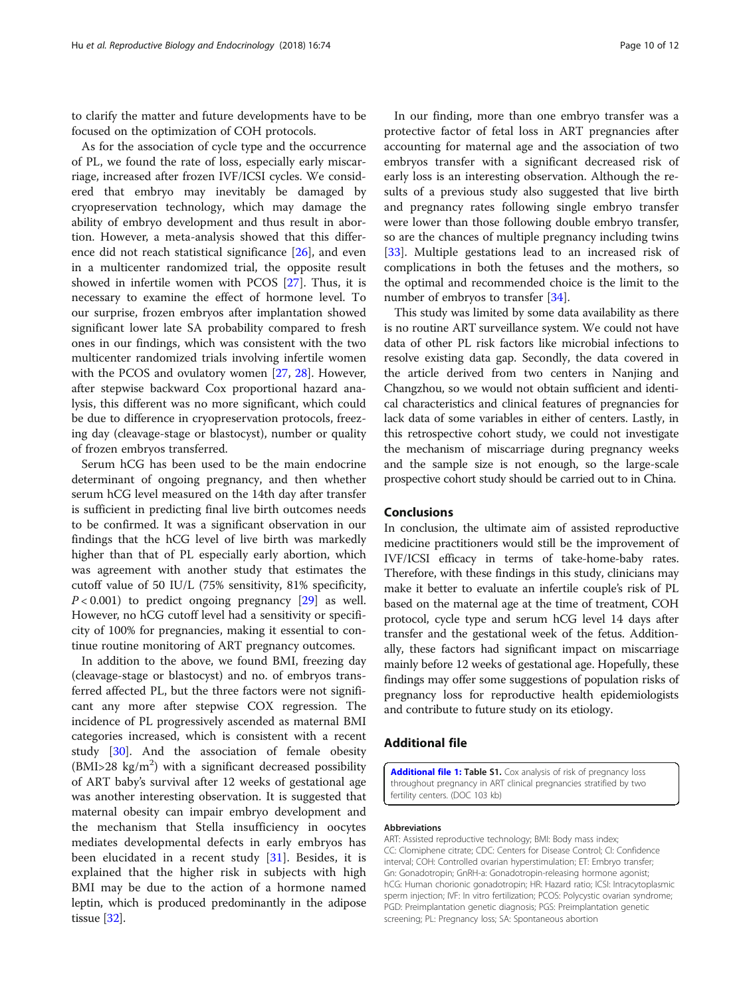<span id="page-9-0"></span>to clarify the matter and future developments have to be focused on the optimization of COH protocols.

As for the association of cycle type and the occurrence of PL, we found the rate of loss, especially early miscarriage, increased after frozen IVF/ICSI cycles. We considered that embryo may inevitably be damaged by cryopreservation technology, which may damage the ability of embryo development and thus result in abortion. However, a meta-analysis showed that this difference did not reach statistical significance [\[26](#page-11-0)], and even in a multicenter randomized trial, the opposite result showed in infertile women with PCOS [[27\]](#page-11-0). Thus, it is necessary to examine the effect of hormone level. To our surprise, frozen embryos after implantation showed significant lower late SA probability compared to fresh ones in our findings, which was consistent with the two multicenter randomized trials involving infertile women with the PCOS and ovulatory women [[27,](#page-11-0) [28\]](#page-11-0). However, after stepwise backward Cox proportional hazard analysis, this different was no more significant, which could be due to difference in cryopreservation protocols, freezing day (cleavage-stage or blastocyst), number or quality of frozen embryos transferred.

Serum hCG has been used to be the main endocrine determinant of ongoing pregnancy, and then whether serum hCG level measured on the 14th day after transfer is sufficient in predicting final live birth outcomes needs to be confirmed. It was a significant observation in our findings that the hCG level of live birth was markedly higher than that of PL especially early abortion, which was agreement with another study that estimates the cutoff value of 50 IU/L (75% sensitivity, 81% specificity,  $P < 0.001$ ) to predict ongoing pregnancy [[29](#page-11-0)] as well. However, no hCG cutoff level had a sensitivity or specificity of 100% for pregnancies, making it essential to continue routine monitoring of ART pregnancy outcomes.

In addition to the above, we found BMI, freezing day (cleavage-stage or blastocyst) and no. of embryos transferred affected PL, but the three factors were not significant any more after stepwise COX regression. The incidence of PL progressively ascended as maternal BMI categories increased, which is consistent with a recent study [[30](#page-11-0)]. And the association of female obesity (BMI>28 kg/m<sup>2</sup>) with a significant decreased possibility of ART baby's survival after 12 weeks of gestational age was another interesting observation. It is suggested that maternal obesity can impair embryo development and the mechanism that Stella insufficiency in oocytes mediates developmental defects in early embryos has been elucidated in a recent study [\[31](#page-11-0)]. Besides, it is explained that the higher risk in subjects with high BMI may be due to the action of a hormone named leptin, which is produced predominantly in the adipose tissue [[32\]](#page-11-0).

In our finding, more than one embryo transfer was a protective factor of fetal loss in ART pregnancies after accounting for maternal age and the association of two embryos transfer with a significant decreased risk of early loss is an interesting observation. Although the results of a previous study also suggested that live birth and pregnancy rates following single embryo transfer were lower than those following double embryo transfer, so are the chances of multiple pregnancy including twins [[33\]](#page-11-0). Multiple gestations lead to an increased risk of complications in both the fetuses and the mothers, so the optimal and recommended choice is the limit to the number of embryos to transfer [\[34\]](#page-11-0).

This study was limited by some data availability as there is no routine ART surveillance system. We could not have data of other PL risk factors like microbial infections to resolve existing data gap. Secondly, the data covered in the article derived from two centers in Nanjing and Changzhou, so we would not obtain sufficient and identical characteristics and clinical features of pregnancies for lack data of some variables in either of centers. Lastly, in this retrospective cohort study, we could not investigate the mechanism of miscarriage during pregnancy weeks and the sample size is not enough, so the large-scale prospective cohort study should be carried out to in China.

### Conclusions

In conclusion, the ultimate aim of assisted reproductive medicine practitioners would still be the improvement of IVF/ICSI efficacy in terms of take-home-baby rates. Therefore, with these findings in this study, clinicians may make it better to evaluate an infertile couple's risk of PL based on the maternal age at the time of treatment, COH protocol, cycle type and serum hCG level 14 days after transfer and the gestational week of the fetus. Additionally, these factors had significant impact on miscarriage mainly before 12 weeks of gestational age. Hopefully, these findings may offer some suggestions of population risks of pregnancy loss for reproductive health epidemiologists and contribute to future study on its etiology.

# Additional file

[Additional file 1:](https://doi.org/10.1186/s12958-018-0390-6) Table S1. Cox analysis of risk of pregnancy loss throughout pregnancy in ART clinical pregnancies stratified by two fertility centers. (DOC 103 kb)

#### Abbreviations

ART: Assisted reproductive technology; BMI: Body mass index; CC: Clomiphene citrate; CDC: Centers for Disease Control; CI: Confidence interval; COH: Controlled ovarian hyperstimulation; ET: Embryo transfer; Gn: Gonadotropin; GnRH-a: Gonadotropin-releasing hormone agonist; hCG: Human chorionic gonadotropin; HR: Hazard ratio; ICSI: Intracytoplasmic sperm injection; IVF: In vitro fertilization; PCOS: Polycystic ovarian syndrome; PGD: Preimplantation genetic diagnosis; PGS: Preimplantation genetic screening; PL: Pregnancy loss; SA: Spontaneous abortion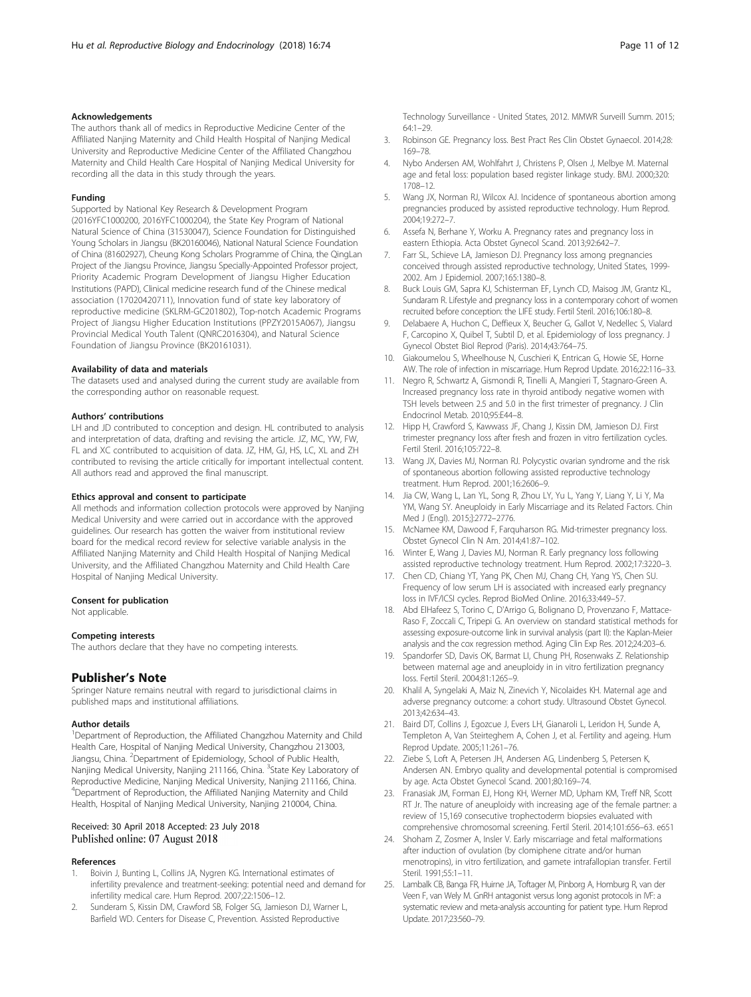#### <span id="page-10-0"></span>Acknowledgements

The authors thank all of medics in Reproductive Medicine Center of the Affiliated Nanjing Maternity and Child Health Hospital of Nanjing Medical University and Reproductive Medicine Center of the Affiliated Changzhou Maternity and Child Health Care Hospital of Nanjing Medical University for recording all the data in this study through the years.

#### Funding

Supported by National Key Research & Development Program (2016YFC1000200, 2016YFC1000204), the State Key Program of National Natural Science of China (31530047), Science Foundation for Distinguished Young Scholars in Jiangsu (BK20160046), National Natural Science Foundation of China (81602927), Cheung Kong Scholars Programme of China, the QingLan Project of the Jiangsu Province, Jiangsu Specially-Appointed Professor project, Priority Academic Program Development of Jiangsu Higher Education Institutions (PAPD), Clinical medicine research fund of the Chinese medical association (17020420711), Innovation fund of state key laboratory of reproductive medicine (SKLRM-GC201802), Top-notch Academic Programs Project of Jiangsu Higher Education Institutions (PPZY2015A067), Jiangsu Provincial Medical Youth Talent (QNRC2016304), and Natural Science Foundation of Jiangsu Province (BK20161031).

#### Availability of data and materials

The datasets used and analysed during the current study are available from the corresponding author on reasonable request.

#### Authors' contributions

LH and JD contributed to conception and design. HL contributed to analysis and interpretation of data, drafting and revising the article. JZ, MC, YW, FW, FL and XC contributed to acquisition of data. JZ, HM, GJ, HS, LC, XL and ZH contributed to revising the article critically for important intellectual content. All authors read and approved the final manuscript.

#### Ethics approval and consent to participate

All methods and information collection protocols were approved by Nanjing Medical University and were carried out in accordance with the approved guidelines. Our research has gotten the waiver from institutional review board for the medical record review for selective variable analysis in the Affiliated Nanjing Maternity and Child Health Hospital of Nanjing Medical University, and the Affiliated Changzhou Maternity and Child Health Care Hospital of Nanjing Medical University.

#### Consent for publication

Not applicable.

#### Competing interests

The authors declare that they have no competing interests.

#### Publisher's Note

Springer Nature remains neutral with regard to jurisdictional claims in published maps and institutional affiliations.

#### Author details

<sup>1</sup>Department of Reproduction, the Affiliated Changzhou Maternity and Child Health Care, Hospital of Nanjing Medical University, Changzhou 213003, Jiangsu, China. <sup>2</sup>Department of Epidemiology, School of Public Health, Nanjing Medical University, Nanjing 211166, China. <sup>3</sup>State Key Laboratory of Reproductive Medicine, Nanjing Medical University, Nanjing 211166, China. 4 Department of Reproduction, the Affiliated Nanjing Maternity and Child Health, Hospital of Nanjing Medical University, Nanjing 210004, China.

#### Received: 30 April 2018 Accepted: 23 July 2018 Published online: 07 August 2018

#### References

- Boivin J, Bunting L, Collins JA, Nygren KG. International estimates of infertility prevalence and treatment-seeking: potential need and demand for infertility medical care. Hum Reprod. 2007;22:1506–12.
- Sunderam S, Kissin DM, Crawford SB, Folger SG, Jamieson DJ, Warner L, Barfield WD. Centers for Disease C, Prevention. Assisted Reproductive

Technology Surveillance - United States, 2012. MMWR Surveill Summ. 2015; 64:1–29.

- 3. Robinson GE. Pregnancy loss. Best Pract Res Clin Obstet Gynaecol. 2014;28: 169–78.
- 4. Nybo Andersen AM, Wohlfahrt J, Christens P, Olsen J, Melbye M. Maternal age and fetal loss: population based register linkage study. BMJ. 2000;320: 1708–12.
- 5. Wang JX, Norman RJ, Wilcox AJ. Incidence of spontaneous abortion among pregnancies produced by assisted reproductive technology. Hum Reprod. 2004;19:272–7.
- Assefa N, Berhane Y, Worku A. Pregnancy rates and pregnancy loss in eastern Ethiopia. Acta Obstet Gynecol Scand. 2013;92:642–7.
- 7. Farr SL, Schieve LA, Jamieson DJ. Pregnancy loss among pregnancies conceived through assisted reproductive technology, United States, 1999- 2002. Am J Epidemiol. 2007;165:1380–8.
- 8. Buck Louis GM, Sapra KJ, Schisterman EF, Lynch CD, Maisog JM, Grantz KL, Sundaram R. Lifestyle and pregnancy loss in a contemporary cohort of women recruited before conception: the LIFE study. Fertil Steril. 2016;106:180–8.
- Delabaere A, Huchon C, Deffieux X, Beucher G, Gallot V, Nedellec S, Vialard F, Carcopino X, Quibel T, Subtil D, et al. Epidemiology of loss pregnancy. J Gynecol Obstet Biol Reprod (Paris). 2014;43:764–75.
- 10. Giakoumelou S, Wheelhouse N, Cuschieri K, Entrican G, Howie SE, Horne AW. The role of infection in miscarriage. Hum Reprod Update. 2016;22:116–33.
- 11. Negro R, Schwartz A, Gismondi R, Tinelli A, Mangieri T, Stagnaro-Green A. Increased pregnancy loss rate in thyroid antibody negative women with TSH levels between 2.5 and 5.0 in the first trimester of pregnancy. J Clin Endocrinol Metab. 2010;95:E44–8.
- 12. Hipp H, Crawford S, Kawwass JF, Chang J, Kissin DM, Jamieson DJ. First trimester pregnancy loss after fresh and frozen in vitro fertilization cycles. Fertil Steril. 2016;105:722–8.
- 13. Wang JX, Davies MJ, Norman RJ. Polycystic ovarian syndrome and the risk of spontaneous abortion following assisted reproductive technology treatment. Hum Reprod. 2001;16:2606–9.
- 14. Jia CW, Wang L, Lan YL, Song R, Zhou LY, Yu L, Yang Y, Liang Y, Li Y, Ma YM, Wang SY. Aneuploidy in Early Miscarriage and its Related Factors. Chin Med J (Engl). 2015;]:2772–2776.
- 15. McNamee KM, Dawood F, Farquharson RG. Mid-trimester pregnancy loss. Obstet Gynecol Clin N Am. 2014;41:87–102.
- 16. Winter E, Wang J, Davies MJ, Norman R. Early pregnancy loss following assisted reproductive technology treatment. Hum Reprod. 2002;17:3220–3.
- 17. Chen CD, Chiang YT, Yang PK, Chen MJ, Chang CH, Yang YS, Chen SU. Frequency of low serum LH is associated with increased early pregnancy loss in IVF/ICSI cycles. Reprod BioMed Online. 2016;33:449–57.
- 18. Abd ElHafeez S, Torino C, D'Arrigo G, Bolignano D, Provenzano F, Mattace-Raso F, Zoccali C, Tripepi G. An overview on standard statistical methods for assessing exposure-outcome link in survival analysis (part II): the Kaplan-Meier analysis and the cox regression method. Aging Clin Exp Res. 2012;24:203–6.
- 19. Spandorfer SD, Davis OK, Barmat LI, Chung PH, Rosenwaks Z. Relationship between maternal age and aneuploidy in in vitro fertilization pregnancy loss. Fertil Steril. 2004;81:1265–9.
- 20. Khalil A, Syngelaki A, Maiz N, Zinevich Y, Nicolaides KH. Maternal age and adverse pregnancy outcome: a cohort study. Ultrasound Obstet Gynecol. 2013;42:634–43.
- 21. Baird DT, Collins J, Egozcue J, Evers LH, Gianaroli L, Leridon H, Sunde A, Templeton A, Van Steirteghem A, Cohen J, et al. Fertility and ageing. Hum Reprod Update. 2005;11:261–76.
- 22. Ziebe S, Loft A, Petersen JH, Andersen AG, Lindenberg S, Petersen K, Andersen AN. Embryo quality and developmental potential is compromised by age. Acta Obstet Gynecol Scand. 2001;80:169–74.
- 23. Franasiak JM, Forman EJ, Hong KH, Werner MD, Upham KM, Treff NR, Scott RT Jr. The nature of aneuploidy with increasing age of the female partner: a review of 15,169 consecutive trophectoderm biopsies evaluated with comprehensive chromosomal screening. Fertil Steril. 2014;101:656–63. e651
- 24. Shoham Z, Zosmer A, Insler V. Early miscarriage and fetal malformations after induction of ovulation (by clomiphene citrate and/or human menotropins), in vitro fertilization, and gamete intrafallopian transfer. Fertil Steril. 1991;55:1–11.
- 25. Lambalk CB, Banga FR, Huirne JA, Toftager M, Pinborg A, Homburg R, van der Veen F, van Wely M. GnRH antagonist versus long agonist protocols in IVF: a systematic review and meta-analysis accounting for patient type. Hum Reprod Update. 2017;23:560–79.